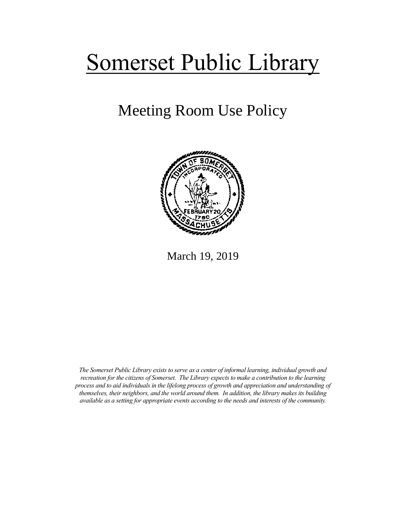# Somerset Public Library

# Meeting Room Use Policy



March 19, 2019

*The Somerset Public Library exists to serve as a center of informal learning, individual growth and recreation for the citizens of Somerset. The Library expects to make a contribution to the learning process and to aid individuals in the lifelong process of growth and appreciation and understanding of themselves, their neighbors, and the world around them. In addition, the library makes its building available as a setting for appropriate events according to the needs and interests of the community.*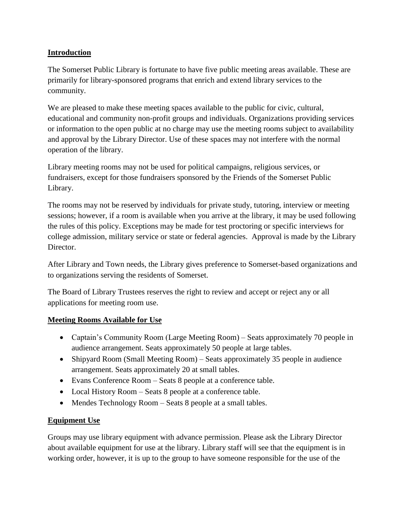# **Introduction**

The Somerset Public Library is fortunate to have five public meeting areas available. These are primarily for library-sponsored programs that enrich and extend library services to the community.

We are pleased to make these meeting spaces available to the public for civic, cultural, educational and community non-profit groups and individuals. Organizations providing services or information to the open public at no charge may use the meeting rooms subject to availability and approval by the Library Director. Use of these spaces may not interfere with the normal operation of the library.

Library meeting rooms may not be used for political campaigns, religious services, or fundraisers, except for those fundraisers sponsored by the Friends of the Somerset Public Library.

The rooms may not be reserved by individuals for private study, tutoring, interview or meeting sessions; however, if a room is available when you arrive at the library, it may be used following the rules of this policy. Exceptions may be made for test proctoring or specific interviews for college admission, military service or state or federal agencies. Approval is made by the Library Director.

After Library and Town needs, the Library gives preference to Somerset-based organizations and to organizations serving the residents of Somerset.

The Board of Library Trustees reserves the right to review and accept or reject any or all applications for meeting room use.

#### **Meeting Rooms Available for Use**

- Captain's Community Room (Large Meeting Room) Seats approximately 70 people in audience arrangement. Seats approximately 50 people at large tables.
- Shipyard Room (Small Meeting Room) Seats approximately 35 people in audience arrangement. Seats approximately 20 at small tables.
- Evans Conference Room Seats 8 people at a conference table.
- Local History Room Seats 8 people at a conference table.
- Mendes Technology Room Seats 8 people at a small tables.

#### **Equipment Use**

Groups may use library equipment with advance permission. Please ask the Library Director about available equipment for use at the library. Library staff will see that the equipment is in working order, however, it is up to the group to have someone responsible for the use of the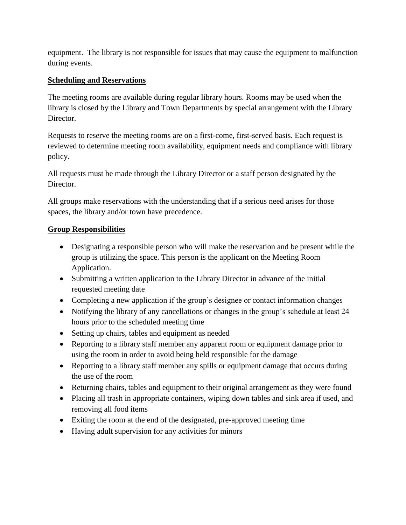equipment. The library is not responsible for issues that may cause the equipment to malfunction during events.

# **Scheduling and Reservations**

The meeting rooms are available during regular library hours. Rooms may be used when the library is closed by the Library and Town Departments by special arrangement with the Library Director.

Requests to reserve the meeting rooms are on a first-come, first-served basis. Each request is reviewed to determine meeting room availability, equipment needs and compliance with library policy.

All requests must be made through the Library Director or a staff person designated by the Director.

All groups make reservations with the understanding that if a serious need arises for those spaces, the library and/or town have precedence.

# **Group Responsibilities**

- Designating a responsible person who will make the reservation and be present while the group is utilizing the space. This person is the applicant on the Meeting Room Application.
- Submitting a written application to the Library Director in advance of the initial requested meeting date
- Completing a new application if the group's designee or contact information changes
- Notifying the library of any cancellations or changes in the group's schedule at least 24 hours prior to the scheduled meeting time
- Setting up chairs, tables and equipment as needed
- Reporting to a library staff member any apparent room or equipment damage prior to using the room in order to avoid being held responsible for the damage
- Reporting to a library staff member any spills or equipment damage that occurs during the use of the room
- Returning chairs, tables and equipment to their original arrangement as they were found
- Placing all trash in appropriate containers, wiping down tables and sink area if used, and removing all food items
- Exiting the room at the end of the designated, pre-approved meeting time
- Having adult supervision for any activities for minors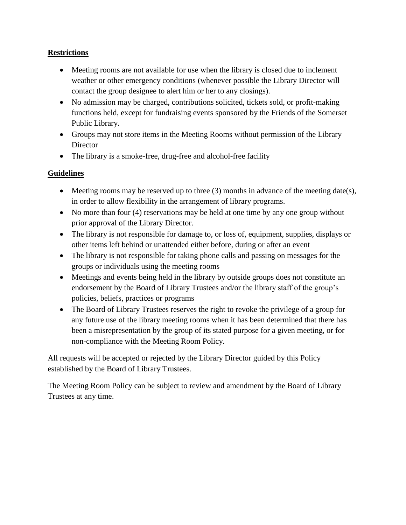# **Restrictions**

- Meeting rooms are not available for use when the library is closed due to inclement weather or other emergency conditions (whenever possible the Library Director will contact the group designee to alert him or her to any closings).
- No admission may be charged, contributions solicited, tickets sold, or profit-making functions held, except for fundraising events sponsored by the Friends of the Somerset Public Library.
- Groups may not store items in the Meeting Rooms without permission of the Library **Director**
- The library is a smoke-free, drug-free and alcohol-free facility

# **Guidelines**

- $\bullet$  Meeting rooms may be reserved up to three (3) months in advance of the meeting date(s), in order to allow flexibility in the arrangement of library programs.
- No more than four (4) reservations may be held at one time by any one group without prior approval of the Library Director.
- The library is not responsible for damage to, or loss of, equipment, supplies, displays or other items left behind or unattended either before, during or after an event
- The library is not responsible for taking phone calls and passing on messages for the groups or individuals using the meeting rooms
- Meetings and events being held in the library by outside groups does not constitute an endorsement by the Board of Library Trustees and/or the library staff of the group's policies, beliefs, practices or programs
- The Board of Library Trustees reserves the right to revoke the privilege of a group for any future use of the library meeting rooms when it has been determined that there has been a misrepresentation by the group of its stated purpose for a given meeting, or for non-compliance with the Meeting Room Policy.

All requests will be accepted or rejected by the Library Director guided by this Policy established by the Board of Library Trustees.

The Meeting Room Policy can be subject to review and amendment by the Board of Library Trustees at any time.